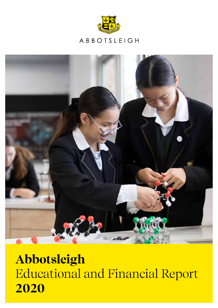



# **Abbotsleigh** Educational and Financial Report **2020**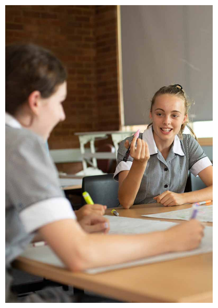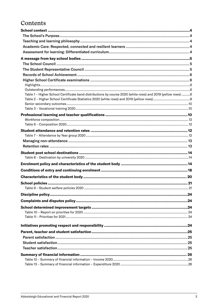# Contents

| Table 1 - Higher School Certificate band distributions by course 2020 (white rows) and 2019 (yellow rows) 6 |  |
|-------------------------------------------------------------------------------------------------------------|--|
|                                                                                                             |  |
|                                                                                                             |  |
|                                                                                                             |  |
|                                                                                                             |  |
|                                                                                                             |  |
|                                                                                                             |  |
|                                                                                                             |  |
|                                                                                                             |  |
|                                                                                                             |  |
|                                                                                                             |  |
|                                                                                                             |  |
|                                                                                                             |  |
|                                                                                                             |  |
|                                                                                                             |  |
|                                                                                                             |  |
|                                                                                                             |  |
|                                                                                                             |  |
|                                                                                                             |  |
|                                                                                                             |  |
|                                                                                                             |  |
|                                                                                                             |  |
|                                                                                                             |  |
|                                                                                                             |  |
|                                                                                                             |  |
|                                                                                                             |  |
|                                                                                                             |  |
|                                                                                                             |  |
|                                                                                                             |  |
|                                                                                                             |  |
|                                                                                                             |  |
|                                                                                                             |  |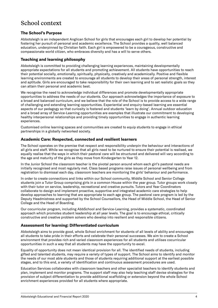### School context

#### **The School's Purpose**

Abbotsleigh is an independent Anglican School for girls that encourages each girl to develop her potential by fostering her pursuit of personal and academic excellence. The School provides a quality, well balanced education, underpinned by Christian faith. Each girl is empowered to be a courageous, constructive and compassionate world citizen, who embraces diversity and has a will to serve others.

#### **Teaching and learning philosophy**

Abbotsleigh is committed to providing challenging learning experiences, maintaining developmentally appropriate expectations for all students and promoting achievement. All students have opportunities to reach their potential socially, emotionally, spiritually, physically, creatively and academically. Positive and flexible learning environments are created to encourage all students to develop their areas of personal strength, interest and aptitude. Girls are encouraged to take responsibility for their own learning and to set realistic goals so they can attain their personal and academic best.

We recognise the need to acknowledge individual differences and promote developmentally appropriate opportunities to address the needs of our students. Our approach acknowledges the importance of exposure to a broad and balanced curriculum, and we believe that the role of the School is to provide access to a wide range of challenging and extending learning opportunities. Experiential and enquiry-based learning are essential aspects of our pedagogy so that curiosity is fostered and students 'learn by doing'. Annual outdoor education and a broad array of Service-Learning opportunities are examples that illustrate our commitment to developing healthy interpersonal relationships and providing timely opportunities to engage in authentic learning experiences.

Customised online learning spaces and communities are created to equip students to engage in ethical partnerships in a globally networked society.

#### **Academic Care: Respected, connected and resilient learners**

The School operates on the premise that respect and responsibility underpin the behaviour and interactions of all girls and staff. While we recognise that all girls need to be nurtured to ensure their potential is realised, we equally realise that the ways in which their pastoral care will be structured and delivered will vary according to the age and maturity of the girls as they move from Kindergarten to Year 12.

In the Junior School the classroom teacher is the pivotal person around whom each girl's pastoral needs are initially recognised and most regularly met. Class based programs raise issues of personal wellbeing and from registration to dismissal each day, classroom teachers are monitoring the girls' behaviour and performance.

In order to create connections and links within our School community, Middle School and Senior College students join a Tutor Group comprising girls in a common House within the year group. Tutor groups work closely with their tutor on service, leadership, recreational and creative pursuits. Tutors and Year Coordinators collaborate to design and implement proactive, supportive and integrated academic care strategies to help develop approaches to learning that are appropriate to each age group. The pastoral care program is led by the Deputy Headmistress and supported by the School Counsellors, the Head of Middle School, the Head of Senior College and the Head of Boarding.

Our cocurricular program, including AbbSchool and Service-Learning, provides a systematic, coordinated approach which promotes student leadership at all year levels. The goal is to encourage ethical, critically constructive and creative problem solvers who develop into resilient and responsible citizens.

#### **Assessment for learning: Differentiated curriculum**

Abbotsleigh aims to provide good, whole School enrichment for students of all levels of ability and encourages all students to take pride in their efforts and celebrate their personal successes. We aim to create a School environment that provides rich and varied classroom experiences for all students and utilises cocurricular opportunities in such a way that all students may have the opportunity to excel.

Equality of opportunity does not mean identical provision for all. The identified needs of students, including gifted and talented students, may require a variety of types of support. The School aims to identify and monitor the needs of our most able students and those of students requiring additional support at the earliest possible stages, and to this end, a variety of identification and continuous assessment procedures are used.

Education Services collaborates with classroom teachers and other specialist teachers to identify students and plan, implement and monitor programs. The support staff may also help teaching staff devise strategies for the provision of subject differentiation to provide additional scaffolding or extension beyond the whole School enrichment experiences provided for all students where appropriate.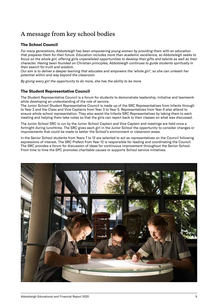# A message from key school bodies

#### **The School Council**

*For many generations, Abbotsleigh has been empowering young women by providing them with an education that prepares them for their future. Education includes more than academic excellence, so Abbotsleigh seeks to focus on the whole girl, offering girls unparalleled opportunities to develop their gifts and talents as well as their character. Having been founded on Christian principles, Abbotsleigh continues to guide students spiritually in their search for truth and wisdom.*

*Our aim is to deliver a deeper learning that educates and empowers the 'whole girl', so she can unleash her potential within and way beyond the classroom.*

*By giving every girl the opportunity to do more, she has the ability to be more*

#### **The Student Representative Council**

The Student Representative Council is a forum for students to demonstrate leadership, initiative and teamwork while developing an understanding of the role of service.

The Junior School Student Representative Council is made up of the SRC Representatives from Infants through to Year 2 and the Class and Vice Captains from Year 3 to Year 5. Representatives from Year 6 also attend to ensure whole school representation. They also assist the Infants SRC Representatives by taking them to each meeting and helping them take notes so that the girls can report back to their classes on what was discussed.

The Junior School SRC is run by the Junior School Captain and Vice Captain and meetings are held once a fortnight during lunchtime. The SRC gives each girl in the Junior School the opportunity to consider changes or improvements that could be made to better the School's environment or classroom areas.

In the Senior School students from Years 7 to 12 are selected to act as representatives on the Council following expressions of interest. The SRC Prefect from Year 12 is responsible for leading and coordinating the Council. The SRC provides a forum for discussion of ideas for continuous improvement throughout the Senior School. From time to time the SPC promotes charitable causes or supports School service initiatives.

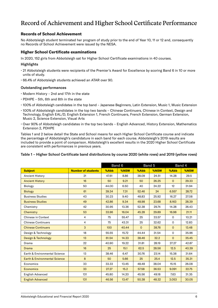# Record of Achievement and Higher School Certificate Performance

#### **Records of School Achievement**

No Abbotsleigh student terminated her program of study prior to the end of Year 10, 11 or 12 and, consequently no Records of School Achievement were issued by the NESA.

#### **Higher School Certificate examinations**

In 2020, 152 girls from Abbotsleigh sat for Higher School Certificate examinations in 40 courses.

#### **Highlights**

- 21 Abbotsleigh students were recipients of the Premier's Award for Excellence by scoring Band 6 in 10 or more units of study.
- 66.4% of Abbotsleigh students achieved an ATAR over 90.

#### Outstanding performances

- Modern History 2nd and 17th in the state
- PDHPE 5th, 6th and 8th in the state
- 100% of Abbotsleigh candidates in the top band Japanese Beginners, Latin Extension, Music 1, Music Extension
- 100% of Abbotsleigh candidates in the top two bands Chinese Continuers, Chinese in Context, Design and Technology, English EAL/D, English Extension 1, French Continuers, French Extension, German Extension, Music 2, Science Extension, Visual Arts
- Over 90% of Abbotsleigh candidates in the top two bands English Advanced, History Extension, Mathematics Extension 2, PDHPE

Tables 1 and 2 below detail the State and School means for each Higher School Certificate course and indicate the percentage of Abbotsleigh's candidature in each band for each course. Abbotsleigh's 2019 results are included to provide a point of comparison. Abbotsleigh's excellent results in the 2020 Higher School Certificate are consistent with performances in previous years.

#### Table 1 – Higher School Certificate band distributions by course 2020 (white rows) and 2019 (yellow rows)

|                                          |                           | Band 6 |       |          | Band 5 |              | Band 4 |
|------------------------------------------|---------------------------|--------|-------|----------|--------|--------------|--------|
| <b>Subject</b>                           | <b>Number of students</b> | %Abb   | %NSW  | %Abb     | %NSW   | %Abb         | %NSW   |
| <b>Ancient History</b>                   | 21                        | 47.61  | 8.86  | 38.09    | 24.51  | 14.28        | 29.5   |
| <b>Ancient History</b>                   | 16                        | 50     | 9.21  | 50       | 26.25  | $\mathbf{O}$ | 29.33  |
| Biology                                  | 50                        | 44.00  | 6.50  | 40       | 24.22  | 12           | 31.94  |
| <b>Biology</b>                           | 61                        | 39.34  | 7.31  | 52.46    | 24     | 6.557        | 28.72  |
| <b>Business Studies</b>                  | 43                        | 30.23  | 9.40  | 48.83    | 25.92  | 16.27        | 27.08  |
| <b>Business Studies</b>                  | 49                        | 42.86  | 9.34  | 48.98    | 23.68  | 8.163        | 28.39  |
| Chemistry                                | 42                        | 30.95  | 13.36 | 52.38    | 29.74  | 14.28        | 26.43  |
| Chemistry                                | 53                        | 33.96  | 16.04 | 45.28    | 29.89  | 16.98        | 21.11  |
| Chinese in Context                       | $\overline{4}$            | 75     | 55.47 | 25       | 33.57  | $\Omega$     | 10.21  |
| <b>Chinese Continuers</b>                | $\overline{4}$            | 75     | 43.31 | 25       | 32.62  | $\mathbf 0$  | 12.83  |
| <b>Chinese Continuers</b>                | 3                         | 100    | 40.44 | $\Omega$ | 38.76  | $\mathbf{O}$ | 13.48  |
| Design & Technology                      | 18                        | 55.55  | 15.72 | 44.44    | 31.54  | $\mathbf 0$  | 35.96  |
| Design & Technology                      | 13                        | 61.54  | 14.33 | 38.46    | 32.2   | $\Omega$     | 35.45  |
| Drama                                    | 22                        | 40.90  | 19.22 | 31.81    | 28.19  | 27.27        | 42.87  |
| <b>Drama</b>                             | 16                        | 25     | 15.1  | 62.5     | 28.56  | 12.5         | 40.39  |
| Earth & Environmental Science            | 13                        | 38.46  | 6.47  | 30.76    | 23.14  | 15.38        | 31.64  |
| <b>Earth &amp; Environmental Science</b> | 8                         | 50     | 5.66  | 25       | 25.4   | 12.5         | 35.31  |
| Economics                                | 33                        | 33.33  | 13.45 | 48.48    | 38.04  | 15.15        | 26.08  |
| <b>Economics</b>                         | 33                        | 27.27  | 15.2  | 57.58    | 36.53  | 9.091        | 22.75  |
| English Advanced                         | 131                       | 45.80  | 14.20 | 45.56    | 49.18  | 7.63         | 31.35  |
| <b>English Advanced</b>                  | 131                       | 46.56  | 13.47 | 50.38    | 48.32  | 3.053        | 30.05  |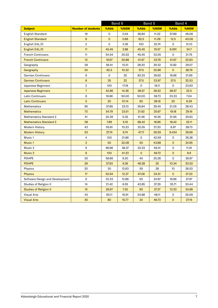|                                 |                           | Band 6       |       | Band 5 |       | Band 4       |       |
|---------------------------------|---------------------------|--------------|-------|--------|-------|--------------|-------|
| <b>Subject</b>                  | <b>Number of students</b> | %Abb         | %NSW  | %Abb   | %NSW  | %Abb         | %NSW  |
| <b>English Standard</b>         | 19                        | 0            | 0.54  | 36.84  | 11.02 | 57.89        | 46.08 |
| <b>English Standard</b>         | 8                         | $\mathsf{O}$ | 0.66  | 62.5   | 11.09 | 12.5         | 40.06 |
| English EAL/D                   | $\overline{2}$            | 0            | 3.36  | 100    | 22.74 | $\mathbf 0$  | 31.10 |
| English EAL/D                   | 11                        | 45.45        | 3.88  | 45.45  | 19.57 | 9.091        | 34.7  |
| <b>French Continuers</b>        | 11                        | 54.54        | 30.52 | 45.45  | 33.05 | $\mathsf{O}$ | 21.75 |
| <b>French Continuers</b>        | 12                        | 16.67        | 30.86 | 41.67  | 33.79 | 41.67        | 22.83 |
| Geography                       | 39                        | 56.41        | 12.51 | 28.20  | 29.32 | 12.82        | 29.07 |
| Geography                       | 24                        | 62.5         | 10.32 | 37.5   | 32.86 | $\mathbf 0$  | 28.79 |
| <b>German Continuers</b>        | 6                         | $\mathsf{O}$ | 25    | 83.33  | 39.62 | 16.66        | 21.69 |
| <b>German Continuers</b>        | 8                         | 25           | 22    | 37.5   | 33.97 | 37.5         | 32.53 |
| Japanese Beginners              | $\overline{2}$            | 100          | 17.16 | 0      | 18.11 | 0            | 23.93 |
| <b>Japanese Beginners</b>       | $\overline{7}$            | 42.86        | 14.26 | 28.57  | 28.52 | 28.57        | 22.5  |
| <b>Latin Continuers</b>         | 6                         | 16.66        | 50.00 | 50.00  | 38.73 | 33.33        | 7.04  |
| <b>Latin Continuers</b>         | 5                         | 20           | 51.14 | 60     | 38.16 | 20           | 8.39  |
| Mathematics                     | 95                        | 37.89        | 23.13 | 36.84  | 29.45 | 21.05        | 28.43 |
| <b>Mathematics</b>              | 73                        | 54.79        | 23.51 | 21.92  | 25.67 | 19.18        | 29.16 |
| <b>Mathematics Standard 2</b>   | 41                        | 24.39        | 5.35  | 41.46  | 19.36 | 21.95        | 25.63 |
| <b>Mathematics Standard 2</b>   | 38                        | 7.89         | 5.19  | 68.42  | 18.86 | 18.42        | 32.11 |
| <b>Modern History</b>           | 43                        | 55.81        | 10.23 | 32.55  | 27.20 | 6.97         | 28.73 |
| <b>Modern History</b>           | 53                        | 37.74        | 9.74  | 47.17  | 29.59 | 9.434        | 26.66 |
| Music 1                         | 4                         | 100          | 21.86 | 0      | 42.59 | 0            | 26.28 |
| Music 1                         | $\overline{2}$            | 50           | 22.08 | 50     | 43.88 | $\mathbf{O}$ | 24.65 |
| Music 2                         | 6                         | 66.66        | 38.37 | 33.33  | 49.41 | $\mathsf{O}$ | 11.91 |
| <b>Music 2</b>                  | 6                         | 100          | 41.23 | 0      | 49.72 | $\mathbf 0$  | 8.9   |
| <b>PDHPE</b>                    | 30                        | 56.66        | 9.20  | 40     | 25.26 | $\Omega$     | 26.97 |
| <b>PDHPE</b>                    | 29                        | 37.93        | 6.26  | 48.28  | 25    | 10.34        | 30.52 |
| Physics                         | 20                        | 30           | 12.63 | 55     | 28    | 10           | 26.53 |
| <b>Physics</b>                  | 17                        | 52.94        | 12.37 | 47.06  | 24.51 | $\mathbf 0$  | 27.23 |
| Software Design and Development | 6                         | 33.33        | 12.86 | 50     | 24.87 | 16.66        | 27.97 |
| Studies of Religion II          | 14                        | 21.42        | 6.55  | 42.85  | 37.29 | 35.71        | 30.44 |
| <b>Studies of Religion II</b>   | 15                        | 26.67        | 7.35  | 60     | 37.27 | 13.33        | 34.68 |
| <b>Visual Arts</b>              | 43                        | 65.11        | 16.91 | 34.88  | 48.11 | 0            | 25.09 |
| <b>Visual Arts</b>              | 35                        | 80           | 15.77 | 20     | 46.73 | $\mathbf{O}$ | 27.16 |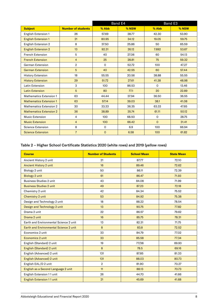|                                |                           | Band E4      |       |              | Band E3 |
|--------------------------------|---------------------------|--------------|-------|--------------|---------|
| <b>Subject</b>                 | <b>Number of students</b> | % Abb        | % NSW | % Abb        | % NSW   |
| English Extension 1            | 26                        | 57.69        | 38.77 | 42.30        | 53.90   |
| <b>English Extension 1</b>     | 21                        | 80.95        | 34.12 | 19.05        | 59.75   |
| <b>English Extension 2</b>     | 8                         | 37.50        | 25.86 | 50           | 65.59   |
| <b>English Extension 2</b>     | 13                        | 92.31        | 26.12 | 7.692        | 53.67   |
| <b>French Extension</b>        | 5                         | 40           | 27.06 | 60           | 54.13   |
| <b>French Extension</b>        | $\overline{4}$            | 25           | 28.81 | 75           | 59.32   |
| <b>German Extension</b>        | $\overline{2}$            | $\mathbf 0$  | 52.72 | 100          | 47.27   |
| <b>German Extension</b>        | 5                         | 40           | 42.55 | 60           | 57.44   |
| <b>History Extension</b>       | 18                        | 55.55        | 20.56 | 38.88        | 55.55   |
| <b>History Extension</b>       | 29                        | 51.72        | 27.61 | 41.38        | 48.98   |
| <b>Latin Extension</b>         | 3                         | 100          | 86.53 | $\Omega$     | 13.46   |
| <b>Latin Extension</b>         | 5                         | 80           | 77.1  | 20           | 22.89   |
| <b>Mathematics Extension 1</b> | 63                        | 44.44        | 37.94 | 36.50        | 36.55   |
| <b>Mathematics Extension 1</b> | 63                        | 57.14        | 39.03 | 38.1         | 41.08   |
| <b>Mathematics Extension 2</b> | 30                        | 33.33        | 36.35 | 63.33        | 47.65   |
| <b>Mathematics Extension 2</b> | 36                        | 38.89        | 35.74 | 61.11        | 50.12   |
| <b>Music Extension</b>         | $\overline{4}$            | 100          | 68.50 | $\mathbf 0$  | 28.75   |
| <b>Music Extension</b>         | $\overline{4}$            | 100          | 66.42 | $\mathbf{O}$ | 31.41   |
| <b>Science Extension</b>       | 8                         | $\Omega$     | 6.9   | 100          | 66.94   |
| <b>Science Extension</b>       | $\overline{7}$            | $\mathbf{O}$ | 6.58  | 100          | 61.82   |

#### Table 2 – Higher School Certificate Statistics 2020 (white rows) and 2019 (yellow rows)

| <b>Course</b>                                 | <b>Number of Students</b> | <b>School Mean</b> | <b>State Mean</b> |
|-----------------------------------------------|---------------------------|--------------------|-------------------|
| Ancient History 2 unit                        | 21                        | 87.77              | 72.10             |
| <b>Ancient History 2 unit</b>                 | 16                        | 89.46              | 72.62             |
| Biology 2 unit                                | 50                        | 86.11              | 72.39             |
| <b>Biology 2 unit</b>                         | 61                        | 86.47              | 71.93             |
| <b>Business Studies 2 unit</b>                | 43                        | 84.08              | 71.99             |
| <b>Business Studies 2 unit</b>                | 49                        | 87.23              | 72.18             |
| Chemistry 2 unit                              | 42                        | 84.34              | 75.52             |
| Chemistry 2 unit                              | 53                        | 84.92              | 75.38             |
| Design and Technology 2 unit                  | 18                        | 88.22              | 78.54             |
| Design and Technology 2 unit                  | 13                        | 90.75              | 77.82             |
| Drama 2 unit                                  | 22                        | 86.57              | 79.62             |
| Drama 2 unit                                  | 16                        | 85.75              | 78.31             |
| Earth and Environmental Science 2 unit        | 13                        | 82.31              | 71.75             |
| <b>Earth and Environmental Science 2 unit</b> | 8                         | 83.8               | 72.52             |
| Economics 2 unit                              | 33                        | 84.79              | 77.02             |
| Economics 2 unit                              | 33                        | 85.58              | 77.34             |
| English (Standard) 2 unit                     | 19                        | 77/38              | 69.93             |
| English (Standard) 2 unit                     | 8                         | 78.5               | 69.16             |
| English (Advanced) 2 unit                     | 131                       | 87.85              | 81.33             |
| English (Advanced) 2 unit                     | 131                       | 88.03              | 80.73             |
| English EAL/D 2 unit                          | $\overline{2}$            | 81.90              | 70.27             |
| English as a Second Language 2 unit           | 11                        | 88.13              | 70.73             |
| English Extension 11 unit                     | 26                        | 44.70              | 41.66             |
| <b>English Extension 11 unit</b>              | 21                        | 45.69              | 41.68             |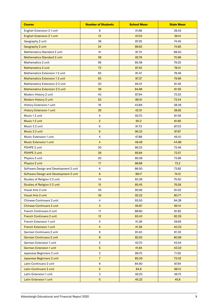| <b>Course</b>                          | <b>Number of Students</b> | <b>School Mean</b> | <b>State Mean</b> |
|----------------------------------------|---------------------------|--------------------|-------------------|
| English Extension 21 unit              | 8                         | 41.66              | 39.43             |
| English Extension 2 1 unit             | 13                        | 47.03              | 39.14             |
| Geography 2 unit                       | 39                        | 87.35              | 74.45             |
| Geography 2 unit                       | 24                        | 89.83              | 74.66             |
| Mathematics Standard 2 unit            | 41                        | 81.74              | 68.40             |
| <b>Mathematics Standard 2 unit</b>     | 38                        | 82.78              | 70.68             |
| Mathematics 2 unit                     | 95                        | 85.58              | 79.20             |
| <b>Mathematics 2 unit</b>              | 73                        | 87.42              | 78.01             |
| Mathematics Extension 12 unit          | 63                        | 81.47              | 78.49             |
| <b>Mathematics Extension 12 unit</b>   | 63                        | 87.37              | 79.98             |
| Mathematics Extension 22 unit          | 30                        | 84.01              | 81.46             |
| <b>Mathematics Extension 2 2 unit</b>  | 36                        | 84.86              | 81.59             |
| Modern History 2 unit                  | 43                        | 87.94              | 72.53             |
| Modern History 2 unit                  | 53                        | 86.15              | 73.44             |
| History Extension 1 unit               | 18                        | 43.84              | 38.36             |
| <b>History Extension 1 unit</b>        | 29                        | 42.51              | 38.92             |
| Music 12 unit                          | $\overline{4}$            | 93.70              | 81.56             |
| Music 12 unit                          | $\overline{2}$            | 90.2               | 81.85             |
| Music 2 2 unit                         | 6                         | 91.73              | 87.03             |
| Music 2 2 unit                         | 6                         | 96.33              | 87.67             |
| Music Extension 1 unit                 | 4                         | 47.88              | 45.10             |
| <b>Music Extension 1 unit</b>          | $\overline{4}$            | 48.48              | 44.98             |
| PDHPE 2 unit                           | 30                        | 89.23              | 72.46             |
| PDHPE 2 unit                           | 29                        | 85.84              | 72.57             |
| Physics 2 unit                         | 20                        | 85.38              | 73.99             |
| Physics 2 unit                         | 17                        | 88.88              | 73.2              |
| Software Design and Development 2 unit | 6                         | 86.50              | 73.82             |
| Software Design and Development 2 unit | 6                         | 88.17              | 74.12             |
| Studies of Religion II 2 unit          | 14                        | 83.36              | 75.50             |
| Studies of Religion II 2 unit          | 15                        | 85.45              | 76.58             |
| Visual Arts 2 unit                     | 43                        | 90.92              | 81.02             |
| <b>Visual Arts 2 unit</b>              | 35                        | 92.22              | 80.77             |
| Chinese Continuers 2 unit              | 4                         | 93.50              | 84.28             |
| <b>Chinese Continuers 2 unit</b>       | 3                         | 95.87              | 85.14             |
| French Continuers 2 unit               | 11                        | 88.80              | 81.92             |
| <b>French Continuers 2 unit</b>        | 12                        | 83.43              | 82.29             |
| French Extension 1 unit                | 5                         | 41.28              | 39.65             |
| <b>French Extension 1 unit</b>         | $\overline{4}$            | 41.38              | 40.23             |
| German Continuers 2 unit               | 6                         | 81.40              | 81.32             |
| <b>German Continuers 2 unit</b>        | 8                         | 82.93              | 80.99             |
| German Extension 1 unit                | $\overline{2}$            | 42.70              | 43.54             |
| German Extension 1 unit                | 5                         | 41.84              | 43.02             |
| Japanese Beginners 2 unit              | $\overline{2}$            | 89.70              | 71.92             |
| Japanese Beginners 2 unit              | $\overline{7}$            | 85.09              | 73.02             |
| Latin Continuers 2 unit                | 6                         | 84.90              | 87.64             |
| Latin Continuers 2 unit                | 5                         | 84.8               | 88.13             |
| Latin Extension 1 unit                 | 3                         | 46.23              | 46.72             |
| Latin Extension 1 unit                 | 5                         | 45.22              | 45.8              |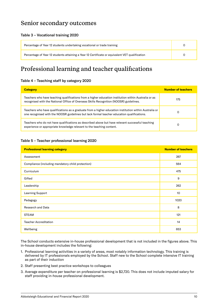### Senior secondary outcomes

#### Table 3 – Vocational training 2020

| Percentage of Year 12 students undertaking vocational or trade training                        |  |
|------------------------------------------------------------------------------------------------|--|
| Percentage of Year 12 students attaining a Year 12 Certificate or equivalent VET qualification |  |

# Professional learning and teacher qualifications

#### Table 4 – Teaching staff by category 2020

| <b>Category</b>                                                                                                                                                                                      | <b>Number of teachers</b> |
|------------------------------------------------------------------------------------------------------------------------------------------------------------------------------------------------------|---------------------------|
| Teachers who have teaching qualifications from a higher education institution within Australia or as<br>recognised with the National Office of Overseas Skills Recognition (NOOSR) guidelines.       | 175                       |
| Teachers who have qualifications as a graduate from a higher education institution within Australia or<br>one recognised with the NOOSR guidelines but lack formal teacher education qualifications. | Ο                         |
| Teachers who do not have qualifications as described above but have relevant successful teaching<br>experience or appropriate knowledge relevant to the teaching content.                            | 0                         |

#### Table 5 – Teacher professional learning 2020

| <b>Professional learning category</b>             | <b>Number of teachers</b> |
|---------------------------------------------------|---------------------------|
| Assessment                                        | 267                       |
| Compliance (including mandatory child protection) | 564                       |
| Curriculum                                        | 475                       |
| Gifted                                            | 9                         |
| Leadership                                        | 262                       |
| Learning Support                                  | 10                        |
| Pedagogy                                          | 1020                      |
| Research and Data                                 | 8                         |
| <b>STEAM</b>                                      | 121                       |
| <b>Teacher Accreditation</b>                      | 14                        |
| Wellbeing                                         | 653                       |

The School conducts extensive in-house professional development that is not included in the figures above. This in-house development includes the following:

- 1. Professional learning activities in a variety of areas, most notably information technology. This training is delivered by IT professionals employed by the School. Staff new to the School complete intensive IT training as part of their induction
- 2. Staff presenting best practice workshops to colleagues
- 3. Average expenditure per teacher on professional learning is \$2,720. This does not include imputed salary for staff providing in-house professional development.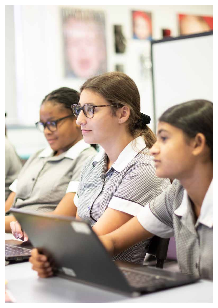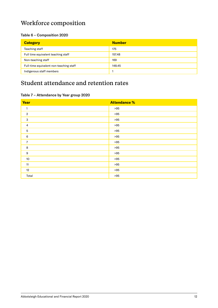# Workforce composition

#### Table 6 – Composition 2020

| <b>Category</b>                         | <b>Number</b> |
|-----------------------------------------|---------------|
| Teaching staff                          | 175           |
| Full time equivalent teaching staff     | 157.48        |
| Non-teaching staff                      | 169           |
| Full-time equivalent non-teaching staff | 148.45        |
| Indigenous staff members                |               |

# Student attendance and retention rates

|  | Table 7 - Attendance by Year group 2020 |  |  |
|--|-----------------------------------------|--|--|

| Year             | <b>Attendance %</b> |
|------------------|---------------------|
| 1                | >95                 |
| $\overline{2}$   | $>95$               |
| 3                | $>95$               |
| 4                | $>95$               |
| $\overline{5}$   | >95                 |
| 6                | $>95$               |
| $\overline{7}$   | $>95$               |
| $\,8\,$          | $>95$               |
| $\boldsymbol{9}$ | $>95$               |
| 10               | $>95$               |
| 11               | $>95$               |
| 12               | >95                 |
| Total            | >95                 |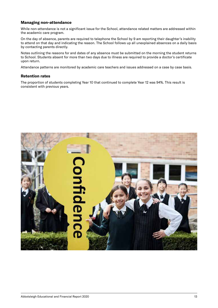#### **Managing non-attendance**

While non-attendance is not a significant issue for the School, attendance related matters are addressed within the academic care program.

On the day of absence, parents are required to telephone the School by 9 am reporting their daughter's inability to attend on that day and indicating the reason. The School follows up all unexplained absences on a daily basis by contacting parents directly.

Notes outlining the reasons for and dates of any absence must be submitted on the morning the student returns to School. Students absent for more than two days due to illness are required to provide a doctor's certificate upon return.

Attendance patterns are monitored by academic care teachers and issues addressed on a case by case basis.

#### **Retention rates**

The proportion of students completing Year 10 that continued to complete Year 12 was 94%. This result is consistent with previous years.

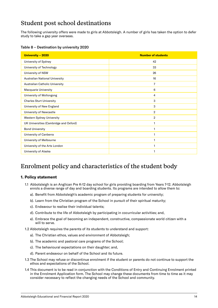# Student post school destinations

The following university offers were made to girls at Abbotsleigh. A number of girls has taken the option to defer study to take a gap year overseas.

| University - 2020                      | <b>Number of students</b> |
|----------------------------------------|---------------------------|
| University of Sydney                   | 42                        |
| University of Technology               | 33                        |
| University of NSW                      | 26                        |
| Australian National University         | 16                        |
| Australian Catholic University         | 7                         |
| <b>Macquarie University</b>            | 6                         |
| University of Wollongong               | 4                         |
| <b>Charles Sturt University</b>        | 3                         |
| University of New England              | 3                         |
| University of Newcastle                | $\overline{2}$            |
| Western Sydney University              | $\overline{2}$            |
| UK Universities (Cambridge and Oxford) | 1                         |
| <b>Bond University</b>                 | 1                         |
| University of Canberra                 | 1                         |
| University of Melbourne                | 1                         |
| University of the Arts London          |                           |
| University of Alaska                   |                           |

#### Table 8 – Destination by university 2020

# Enrolment policy and characteristics of the student body

#### **1. Policy statement**

- 1.1 Abbotsleigh is an Anglican Pre K-12 day school for girls providing boarding from Years 7-12. Abbotsleigh enrols a diverse range of day and boarding students. Its programs are intended to allow them to:
	- a). Benefit from Abbotsleigh's academic program of preparing students for university;
	- b). Learn from the Christian program of the School in pursuit of their spiritual maturity;
	- c). Endeavour to realise their individual talents;
	- d). Contribute to the life of Abbotsleigh by participating in cocurricular activities; and,
	- e). Embrace the goal of becoming an independent, constructive, compassionate world citizen with a will to serve.
- 1.2 Abbotsleigh requires the parents of its students to understand and support:
	- a). The Christian ethos, values and environment of Abbotsleigh;
	- b). The academic and pastoral care programs of the School;
	- c). The behavioural expectations on their daughter; and,
	- d). Parent endeavour on behalf of the School and its future.
- 1.3 The School may refuse or discontinue enrolment if the student or parents do not continue to support the ethos and expectations of the School.
- 1.4 This document is to be read in conjunction with the Conditions of Entry and Continuing Enrolment printed in the Enrolment Application form. The School may change these documents from time to time as it may consider necessary to reflect the changing needs of the School and community.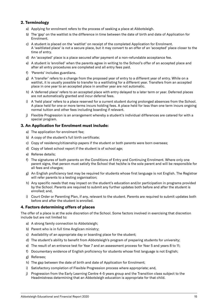#### **2. Terminology**

- a) Applying for enrolment refers to the process of seeking a place at Abbotsleigh.
- b) The 'gap' on the waitlist is the difference in time between the date of birth and date of Application for Enrolment.
- c) A student is placed on the 'waitlist' on receipt of the completed Application for Enrolment. A 'waitlisted place' is not a secure place, but it may convert to an offer of an 'accepted' place closer to the time of entry.
- d) An 'accepted' place is a place secured after payment of a non-refundable acceptance fee.
- e) A student is 'enrolled' when the parents agree in writing to the School's offer of an accepted place and after all entry procedures are completed and all entry fees paid.
- f) 'Parents' includes guardians.
- g) A 'transfer' refers to a change from the proposed year of entry to a different year of entry. While on a waitlist, it is usually possible to transfer to a waitlisting for a different year. Transfers from an accepted place in one year to an accepted place in another year are not automatic.
- h) A 'deferred place' refers to an accepted place with entry delayed to a later term or year. Deferred places are not automatically granted and incur deferral fees.
- i) A 'held place' refers to a place reserved for a current student during prolonged absences from the School. A place held for one or more terms incurs holding fees. A place held for less than one term incurs ongoing normal tuition and other fees including boarding if relevant.
- j) Flexible Progression is an arrangement whereby a student's individual differences are catered for with a special program.

#### **3. An Application for Enrolment must include:**

- a) The application for enrolment fee;
- b) A copy of the student's full birth certificate;
- c) Copy of residency/citizenship papers if the student or both parents were born overseas;
- d) Copy of latest school report if the student is of school age;
- e) Referee details;
- f) The signatures of both parents on the Conditions of Entry and Continuing Enrolment. Where only one parent signs, that person must satisfy the School that he/she is the sole parent and will be responsible for all fees and charges;
- g) An English proficiency test may be required for students whose first language is not English. The Registrar will refer parents to a testing organisation;
- h) Any specific needs that may impact on the student's education and/or participation in programs provided by the School. Parents are required to submit any further updates both before and after the student is enrolled; and,
- i) Court Order or Parenting Plan, if any, relevant to the student. Parents are required to submit updates both before and after the student is enrolled.

#### **4. Factors determining offers of places**

The offer of a place is at the sole discretion of the School. Some factors involved in exercising that discretion include but are not limited to:

- a) A strong family connection to Abbotsleigh;
- b) Parent who is in full time Anglican ministry;
- c) Availability of an appropriate day or boarding place for the student;
- d) The student's ability to benefit from Abbotsleigh's program of preparing students for university;
- e) The result of an entrance test for Year 7 and an assessment process for Year 5 and years 8 to 11;
- f) Documentary evidence of English proficiency for students whose first language is not English;
- g) Referees;
- h) The gap between the date of birth and date of Application for Enrolment;
- i) Satisfactory completion of Flexible Progression process where appropriate; and,
- j) Progression from the Early Learning Centre 4-5 years group and the Transition class subject to the Headmistress determining that an Abbotsleigh education is appropriate for that child.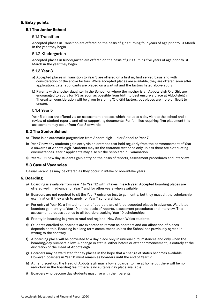#### **5. Entry points**

#### **5.1 The Junior School**

#### 5.1.1 Transition

Accepted places in Transition are offered on the basis of girls turning four years of age prior to 31 March in the year they begin.

#### 5.1.2 Kindergarten

Accepted places in Kindergarten are offered on the basis of girls turning five years of age prior to 31 March in the year they begin.

#### 5.1.3 Year 3

- a) Accepted places in Transition to Year 3 are offered on a first in, first served basis and with consideration of the above factors. While accepted places are available, they are offered soon after application. Later applicants are placed on a waitlist and the factors listed above apply
- b) Parents with another daughter in the School, or where the mother is an Abbotsleigh Old Girl, are encouraged to apply for T-3 as soon as possible from birth to best ensure a place at Abbotsleigh. Thereafter, consideration will be given to sibling/Old Girl factors, but places are more difficult to ensure.

#### 5.1.4 Year 5

Year 5 places are offered via an assessment process, which includes a day visit to the school and a review of student reports and other supporting documents. For families requiring firm placement this assessment may occur from Year 3 onwards.

#### **5.2 The Senior School**

- a) There is an automatic progression from Abbotsleigh Junior School to Year 7.
- b) Year 7 new day students gain entry via an entrance test held regularly from the commencement of Year 3 onwards at Abbotsleigh. Students may sit the entrance test once only unless there are extenuating circumstances. Year 7 applicants may also sit the Scholarship Examination.
- c) Years 8–11 new day students gain entry on the basis of reports, assessment procedures and interview.

#### **5.3 Casual Vacancies**

Casual vacancies may be offered as they occur in intake or non-intake years.

#### **6. Boarding**

- a) Boarding is available from Year 7 to Year 12 with intakes in each year. Accepted boarding places are offered well in advance for Year 7 and for other years when available.
- b) Boarders are not required to sit the Year 7 entrance test to gain entry, but they must sit the scholarship examination if they wish to apply for Year 7 scholarships.
- c) For entry at Year 10, a limited number of boarders are offered accepted places in advance. Waitlisted boarders gain entry to Year 10 on the basis of reports, assessment procedures and interview. This assessment process applies to all boarders seeking Year 10 scholarships.
- d) Priority in boarding is given to rural and regional New South Wales students.
- e) Students enrolled as boarders are expected to remain as boarders and our allocation of places depends on this. Boarding is a long term commitment unless the School has previously agreed in writing to the contrary.
- f) A boarding place will be converted to a day place only in unusual circumstances and only when the boarding/day numbers allow. A change in status, either before or after commencement, is entirely at the discretion of the Head of Abbotsleigh.
- g) Boarders may be waitlisted for day places in the hope that a change of status becomes available. However, boarders in Year 11 must remain as boarders until the end of Year 12.
- h) At her discretion, the Head of Abbotsleigh may allow a boarder to live at home but there will be no reduction in the boarding fee if there is no suitable day place available.
- i) Boarders who become day students must live with their parents.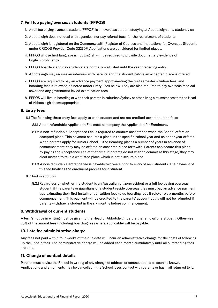#### **7. Full fee paying overseas students (FFPOS)**

- 1. A full fee paying overseas student (FFPOS) is an overseas student studying at Abbotsleigh on a student visa.
- 2. Abbotsleigh does not deal with agencies, nor pay referral fees, for the recruitment of students.
- 3. Abbotsleigh is registered on the Commonwealth Register of Courses and Institutions for Overseas Students under CRICOS Provider Code 02270F. Applications are considered for limited places.
- 4. FFPOS whose first language is not English will be required to provide documentary evidence of English proficiency.
- 5. FFPOS boarders and day students are normally waitlisted until the year preceding entry.
- 6. Abbotsleigh may require an interview with parents and the student before an accepted place is offered.
- 7. FFPOS are required to pay an advance payment approximating the first semester's tuition fees, and boarding fees if relevant, as noted under Entry Fees below. They are also required to pay overseas medical cover and any government levied examination fees.
- 8. FFPOS will live in boarding or with their parents in suburban Sydney or other living circumstances that the Head of Abbotsleigh deems appropriate.

#### **8. Entry fees**

- 8.1 The following three entry fees apply to each student and are not credited towards tuition fees:
	- 8.1.1 A non-refundable Application Fee must accompany the Application for Enrolment.
	- 8.1.2 A non-refundable Acceptance Fee is required to confirm acceptance when the School offers an accepted place. This payment secures a place in the specific school year and calendar year offered. When parents apply for Junior School T-3 or Boarding places a number of years in advance of commencement, they may be offered an accepted place forthwith. Parents can secure this place by paying the Acceptance Fee at that time. If parents do not wish to commit at this stage, they may elect instead to take a waitlisted place which is not a secure place.
	- 8.1.3 A non-refundable entrance fee is payable two years prior to entry of new students. The payment of this fee finalises the enrolment process for a student
- 8.2 And in addition:
	- 8.2.1Regardless of whether the student is an Australian citizen/resident or a full fee paying overseas student, if the parents or guardians of a student reside overseas they must pay an advance payment approximating their first instalment of tuition fees (plus boarding fees if relevant) six months before commencement. This payment will be credited to the parents' account but it will not be refunded if parents withdraw a student in the six months before commencement.

#### **9. Withdrawal of current students**

A term's notice in writing must be given to the Head of Abbotsleigh before the removal of a student. Otherwise 25% of the annual fees (including boarding fees where applicable) will be payable.

#### **10. Late fee administrative charge**

Any fees not paid within four weeks of the due date will incur an administrative change for the costs of following up the unpaid fees. The administrative charge will be added each month cumulatively until all outstanding fees are paid.

#### **11. Change of contact details**

Parents must advise the School in writing of any change of address or contact details as soon as known. Applications and enrolments may be cancelled if the School loses contact with parents or has mail returned to it.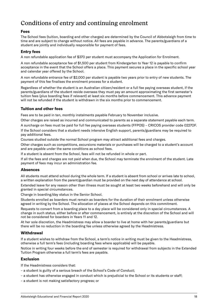# Conditions of entry and continuing enrolment

#### **Fees**

The School fees (tuition, boarding and other charges) are determined by the Council of Abbotsleigh from time to time and are subject to change without notice. All fees are payable in advance. The parents/guardians of a student are jointly and individually responsible for payment of fees.

#### **Entry fees**

A non refundable application fee of \$370 per student must accompany the Application for Enrolment.

A non refundable acceptance fee of \$1,500 per student from Kindergarten to Year 12 is payable to confirm acceptance in the event that the School offers a place. This payment secures a place in the specific school year and calendar year offered by the School.

A non refundable entrance fee of \$2,000 per student is payable two years prior to entry of new students. The payment of this fee finalises the enrolment process for a student.

Regardless of whether the student is an Australian citizen/resident or a full fee paying overseas student, if the parents/guardians of the student reside overseas they must pay an amount approximating the first semester's tuition fees (plus boarding fees if relevant) at least six months before commencement. This advance payment will not be refunded if the student is withdrawn in the six months prior to commencement.

#### **Tuition and other fees**

Fees are to be paid in ten, monthly instalments payable February to November inclusive.

Other charges are raised as incurred and communicated to parents as a separate statement payable each term. A surcharge on fees must be paid for full fee paying overseas students (FFPOS) – CRICOS provider code 0227OF.

If the School considers that a student needs intensive English support, parents/guardians may be required to pay additional fees.

Courses studied outside the normal School program may attract additional fees and charges.

Other charges such as competitions, excursions materials or purchases will be charged to a student's account and are payable under the same conditions as school fees.

If a student is absent from the School, fees will not be refunded in whole or part.

If all the fees and charges are not paid when due, the School may terminate the enrolment of the student. Late payment of fees may incur an administration fee.

#### **Absences**

All students must attend school during the whole term. If a student is absent from school or arrives late to school, a written explanation from the parent/guardian must be provided on the next day of attendance at school.

Extended leave for any reason other than illness must be sought at least two weeks beforehand and will only be granted in special circumstances.

Change in boarding/day status in the Senior School.

Students enrolled as boarders must remain as boarders for the duration of their enrolment unless otherwise agreed in writing by the School. The allocation of places at the School depends on this commitment.

Requests to convert from a boarding place to a day place will be considered only in special circumstances. A change in such status, either before or after commencement, is entirely at the discretion of the School and will not be considered for boarders in Years 11 and 12.

At her sole discretion, the Headmistress may allow a boarder to live at home with her parents/guardians but there will be no reduction in the boarding fee unless otherwise agreed by the Headmistress.

#### **Withdrawal**

If a student wishes to withdraw from the School, a term's notice in writing must be given to the Headmistress, otherwise a full term's fees (including boarding fees where applicable) will be payable.

Notice in writing four weeks before the end of semester is required for withdrawal from subjects in the Extended Tuition Program otherwise a full term's fees are payable.

#### **Exclusion**

If the Headmistress considers that:

- a student is guilty of a serious breach of the School's Code of Conduct;
- a student has otherwise engaged in conduct which is prejudicial to the School or its students or staff;
- a student is not making satisfactory progress; or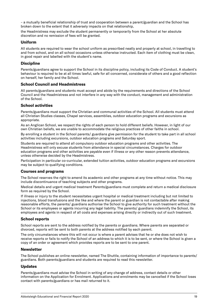– a mutually beneficial relationship of trust and cooperation between a parent/guardian and the School has broken down to the extent that it adversely impacts on that relationship,

the Headmistress may exclude the student permanently or temporarily from the School at her absolute discretion and no remission of fees will be granted.

#### **Uniform**

All students are required to wear the school uniform as prescribed neatly and properly at school, in travelling to and from school, and on all school occasions unless otherwise instructed. Each item of clothing must be clean, in good repair and labelled with the student's name.

#### **Discipline**

Parents/guardians agree to support the School in its discipline policy, including its Code of Conduct. A student's behaviour is required to be at all times lawful, safe for all concerned, considerate of others and a good reflection on herself, her family and the School.

#### **School Council and Headmistress**

All parents/guardians and students must accept and abide by the requirements and directions of the School Council and the Headmistress and not interfere in any way with the conduct, management and administration of the School.

#### **School activities**

Parents/guardians must support the Christian and communal activities of the School. All students must attend all Christian Studies classes, Chapel services, assemblies, outdoor education programs and excursions as appropriate.

As an Anglican School, we respect the rights of each person to hold different beliefs. However, in light of our own Christian beliefs, we are unable to accommodate the religious practices of other faiths in school.

By enrolling a student in the School parents/ guardians give permission for the student to take part in all school activities including excursions, outdoor education programs and Saturday sport.

Students are required to attend all compulsory outdoor education programs and other activities. The Headmistress will only excuse students from attendance in special circumstances. Charges for outdoor education programs and other activities are payable even if illness or any other reason prevents attendance, unless otherwise decided by the Headmistress.

Participation in particular co-curricular, extended tuition activities, outdoor education programs and excursions may be subject to qualifying conditions.

#### **Courses and programs**

The School reserves the right to amend its academic and other programs at any time without notice. This may include discontinuance of teaching subjects and other programs.

Medical details and urgent medical treatment Parents/guardians must complete and return a medical disclosure form as required by the School.

If illness or injury to the student necessitates urgent hospital or medical treatment including but not limited to injections, blood transfusions and the like and where the parent or guardian is not contactable after making reasonable efforts, the parents/ guardians authorise the School to give authority for such treatment without the School or its employees or agents incurring any legal liability. The parents/ guardians indemnify the School, its employees and agents in respect of all costs and expenses arising directly or indirectly out of such treatment.

#### **School reports**

School reports are sent to the address notified by the parents or guardians. Where parents are separated or divorced, reports will be sent to both parents at the address notified by each parent.

The only circumstances where this will not occur is where a parent advises that he or she does not wish to receive reports or fails to notify the School of an address to which it is to be sent, or where the School is given a copy of an order or agreement which provides reports are to be sent to one parent.

#### **Newsletter**

The School publishes an online newsletter, named The Shuttle, containing information of importance to parents/ guardians. Both parents/guardians and students are required to read this newsletter.

#### **Updates**

Parents/guardians must advise the School in writing of any change of address, contact details or other information on the Application for Enrolment. Applications and enrolments may be cancelled if the School loses contact with parents/guardians or has mail returned to it.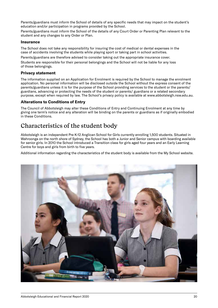Parents/guardians must inform the School of details of any specific needs that may impact on the student's education and/or participation in programs provided by the School.

Parents/guardians must inform the School of the details of any Court Order or Parenting Plan relevant to the student and any changes to any Order or Plan.

#### **Insurance**

The School does not take any responsibility for insuring the cost of medical or dental expenses in the case of accidents involving the students while playing sport or taking part in school activities.

Parents/guardians are therefore advised to consider taking out the appropriate insurance cover. Students are responsible for their personal belongings and the School will not be liable for any loss of those belongings.

#### **Privacy statement**

The information supplied on an Application for Enrolment is required by the School to manage the enrolment application. No personal information will be disclosed outside the School without the express consent of the parents/guardians unless it is for the purpose of the School providing services to the student or the parents/ guardians, advancing or protecting the needs of the student or parents/ guardians or a related secondary purpose, except when required by law. The School's privacy policy is available at www.abbotsleigh.nsw.edu.au.

#### **Alterations to Conditions of Entry**

The Council of Abbotsleigh may alter these Conditions of Entry and Continuing Enrolment at any time by giving one term's notice and any alteration will be binding on the parents or guardians as if originally embodied in these Conditions.

### Characteristics of the student body

Abbotsleigh is an independent Pre K-12 Anglican School for Girls currently enrolling 1,500 students. Situated in Wahroonga on the north shore of Sydney, the School has both a Junior and Senior campus with boarding available for senior girls. In 2010 the School introduced a Transition class for girls aged four years and an Early Learning Centre for boys and girls from birth to five years.

Additional information regarding the characteristics of the student body is available from the My School website.

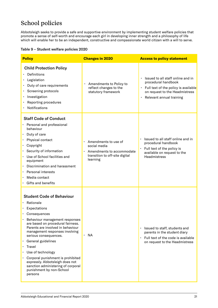# School policies

Abbotsleigh seeks to provide a safe and supportive environment by implementing student welfare policies that promote a sense of self-worth and encourage each girl in developing inner strength and a philosophy of life which will enable her to be an independent, constructive and compassionate world citizen with a will to serve.

| Table 9 - Student welfare policies 2020 |  |  |  |  |
|-----------------------------------------|--|--|--|--|
|-----------------------------------------|--|--|--|--|

| <b>Policy</b>                                                                                                                                                                                                                                                                                                                                                                                                                                                  | <b>Changes in 2020</b>                                                                                          | <b>Access to policy statement</b>                                                                                                                                           |
|----------------------------------------------------------------------------------------------------------------------------------------------------------------------------------------------------------------------------------------------------------------------------------------------------------------------------------------------------------------------------------------------------------------------------------------------------------------|-----------------------------------------------------------------------------------------------------------------|-----------------------------------------------------------------------------------------------------------------------------------------------------------------------------|
| <b>Child Protection Policy</b><br>Definitions<br>Legislation<br>Duty of care requirements<br>Screening protocols<br>Investigation<br>Reporting procedures<br><b>Notifications</b>                                                                                                                                                                                                                                                                              | Amendments to Policy to<br>reflect changes to the<br>statutory framework                                        | Issued to all staff online and in<br>procedural handbook<br>Full text of the policy is available<br>on request to the Headmistress<br>Relevant annual training<br>$\bullet$ |
| <b>Staff Code of Conduct</b><br>• Personal and professional<br>behaviour<br>• Duty of care<br>• Physical contact<br>Copyright<br>Security of information<br>$\bullet$<br>Use of School facilities and<br>$\bullet$<br>equipment<br>Discrimination and harassment<br>Personal interests<br>Media contact<br>Gifts and benefits                                                                                                                                  | Amendments to use of<br>social media<br>Amendments to accommodate<br>transition to off-site digital<br>learning | Issued to all staff online and in<br>procedural handbook<br>Full text of the policy is<br>available on request to the<br>Headmistress                                       |
| <b>Student Code of Behaviour</b><br>Rationale<br>Expectations<br>Consequences<br>Behaviour management responses<br>are based on procedural fairness.<br>Parents are involved in behaviour<br>management responses involving<br>serious consequences.<br>General guidelines<br>Travel<br>Use of technology<br>Corporal punishment is prohibited<br>expressly. Abbotsleigh does not<br>sanction administering of corporal<br>punishment by non-School<br>persons | $\cdot$ NA                                                                                                      | Issued to staff, students and<br>$\bullet$<br>parents in the student diary<br>• Full text of the code is available<br>on request to the Headmistress                        |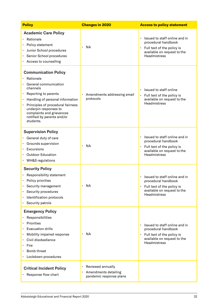| <b>Policy</b>                                                                                                                                                                                                                                                                   | <b>Changes in 2020</b>                                                            | <b>Access to policy statement</b>                                                                                                                     |
|---------------------------------------------------------------------------------------------------------------------------------------------------------------------------------------------------------------------------------------------------------------------------------|-----------------------------------------------------------------------------------|-------------------------------------------------------------------------------------------------------------------------------------------------------|
| <b>Academic Care Policy</b><br>Rationale<br>Policy statement<br>Junior School procedures<br>· Senior School procedures<br>• Access to counselling                                                                                                                               | <b>NA</b>                                                                         | Issued to staff online and in<br>procedural handbook<br>Full text of the policy is<br>$\bullet$<br>available on request to the<br><b>Headmistress</b> |
| <b>Communication Policy</b><br>Rationale<br>General communication<br>channels<br>Reporting to parents<br>Handling of personal information<br>Principles of procedural fairness<br>underpin responses to<br>complaints and grievances<br>notified by parents and/or<br>students. | Amendments addressing email<br>$\bullet$<br>protocols                             | Issued to staff online<br>• Full text of the policy is<br>available on request to the<br>Headmistress                                                 |
| <b>Supervision Policy</b><br>• General duty of care<br>Grounds supervision<br>Excursions<br><b>Outdoor Education</b><br>WH&S regulations                                                                                                                                        | <b>NA</b>                                                                         | Issued to staff online and in<br>procedural handbook<br>Full text of the policy is<br>$\bullet$<br>available on request to the<br><b>Headmistress</b> |
| <b>Security Policy</b><br>Responsibility statement<br>Policy priorities<br>Security management<br>Security procedures<br>Identification protocols<br>Security patrols                                                                                                           | <b>NA</b>                                                                         | Issued to staff online and in<br>procedural handbook<br>Full text of the policy is<br>available on request to the<br><b>Headmistress</b>              |
| <b>Emergency Policy</b><br>Responsibilities<br>Priorities<br><b>Evacuation drills</b><br>Mobility impaired response<br>Civil disobedience<br>Fire<br>Bomb threat<br>Lockdown procedures                                                                                         | <b>NA</b>                                                                         | Issued to staff online and in<br>procedural handbook<br>• Full text of the policy is<br>available on request to the<br><b>Headmistress</b>            |
| <b>Critical Incident Policy</b><br>Response flow chart                                                                                                                                                                                                                          | Reviewed annually<br>$\bullet$<br>Amendments detailing<br>pandemic response plans |                                                                                                                                                       |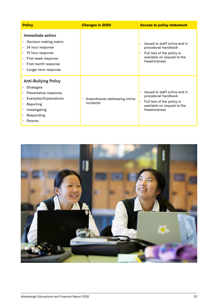| <b>Policy</b>                                                                                                                                                                                     | <b>Changes in 2020</b>                                 | <b>Access to policy statement</b>                                                                                                                     |
|---------------------------------------------------------------------------------------------------------------------------------------------------------------------------------------------------|--------------------------------------------------------|-------------------------------------------------------------------------------------------------------------------------------------------------------|
| Immediate action<br>Decision making matrix<br>$\bullet$<br>24 hour response<br>$\bullet$<br>• 72 hour response<br>• First week response<br>• First month response<br>$\cdot$ Longer term response |                                                        | Issued to staff online and in<br>procedural handbook<br>Full text of the policy is<br>$\bullet$<br>available on request to the<br><b>Headmistress</b> |
| <b>Anti-Bullying Policy</b><br>Strategies<br>Preventative measures<br>Examples/Explanations<br>Reporting<br>$\bullet$<br>Investigating<br>٠<br>• Responding<br>Parents                            | Amendments addressing online<br>$\bullet$<br>incidents | Issued to staff online and in<br>procedural handbook<br>Full text of the policy is<br>$\bullet$<br>available on request to the<br><b>Headmistress</b> |

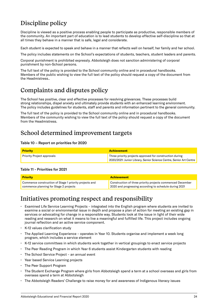# Discipline policy

Discipline is viewed as a positive process enabling people to participate as productive, responsible members of the community. An important part of education is to lead students to develop effective self-discipline so that at all times they behave in a manner that is safe, legal and considerate.

Each student is expected to speak and behave in a manner that reflects well on herself, her family and her school.

The policy includes statements on the School's expectations of students, teachers, student leaders and parents.

Corporal punishment is prohibited expressly. Abbotsleigh does not sanction administering of corporal punishment by non-School persons.

The full text of the policy is provided to the School community online and in procedural handbooks. Members of the public wishing to view the full text of the policy should request a copy of the document from the Headmistress..

# Complaints and disputes policy

The School has positive, clear and effective processes for resolving grievances. These processes build strong relationships, dispel anxiety and ultimately provide students with an enhanced learning environment. The policy includes guidelines for students, staff and parents and information pertinent to the general community.

The full text of the policy is provided to the School community online and in procedural handbooks. Members of the community wishing to view the full text of the policy should request a copy of the document from the Headmistress.

# School determined improvement targets

#### Table 10 – Report on priorities for 2020

| <b>Priority</b>            | <b>Achievement</b>                                                  |
|----------------------------|---------------------------------------------------------------------|
| Priority Project approvals | Three priority projects approved for construction during            |
|                            | 2020/2021: Junior Library, Senior Science Centre, Senior Art Centre |

#### Table 11 - Priorities for 2021

| <b>Priority</b>                                        | <b>Achievement</b>                                         |
|--------------------------------------------------------|------------------------------------------------------------|
| Commence construction of Stage 1 priority projects and | Construction of three priority projects commenced December |
| commence planning for Stage 2 projects                 | 2020 and progressing according to schedule during 2021     |

# Initiatives promoting respect and responsibility

- Examined Life Service Learning Projects integrated into the English program where students are invited to examine a social or environmental issue in depth and propose a plan of action for meeting an existing gap in services or advocating for change in a responsible way. Students look at the issue in light of their wide reading and research on what it means to live a meaningful and fulfilled life. This project includes ongoing journal reflection and an active service component.
- K-12 values clarification study
- The Applied Learning Experience operates in Year 10. Students organise and implement a week long program, which includes a service element
- K-12 service committees in which students work together in vertical groupings to enact service projects
- The Peer Reading Program in which Year 6 students assist Kindergarten students with reading
- The School Service Project an annual event
- Year based Service Learning projects
- The Peer Support Program
- The Student Exchange Program where girls from Abbotsleigh spend a term at a school overseas and girls from overseas spend a term at Abbotsleigh
- The Abbotsleigh Readers' Challenge to raise money for and awareness of Indigenous literacy issues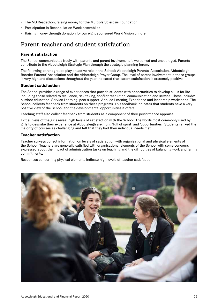- The MS Readathon, raising money for the Multiple Sclerosis Foundation
- Participation in Reconciliation Week assemblies
- Raising money through donation for our eight sponsored World Vision children

### Parent, teacher and student satisfaction

#### **Parent satisfaction**

The School communicates freely with parents and parent involvement is welcomed and encouraged. Parents contribute to the Abbotsleigh Strategic Plan through the strategic planning forum.

The following parent groups play an active role in the School: Abbotsleigh Parents' Association, Abbotsleigh Boarder Parents' Association and the Abbotsleigh Prayer Group. The level of parent involvement in these groups is very high and discussions throughout the year indicated that parent satisfaction is extremely positive.

#### **Student satisfaction**

The School provides a range of experiences that provide students with opportunities to develop skills for life including those related to resilience, risk taking, conflict resolution, communication and service. These include: outdoor education, Service Learning, peer support, Applied Learning Experience and leadership workshops. The School collects feedback from students on these programs. This feedback indicates that students have a very positive view of the School and the developmental opportunities it offers.

Teaching staff also collect feedback from students as a component of their performance appraisal.

Exit surveys of the girls reveal high levels of satisfaction with the School. The words most commonly used by girls to describe their experience at Abbotsleigh are: 'fun', 'full of spirit' and 'opportunities'. Students ranked the majority of courses as challenging and felt that they had their individual needs met.

#### **Teacher satisfaction**

Teacher surveys collect information on levels of satisfaction with organisational and physical elements of the School. Teachers are generally satisfied with organisational elements of the School with some concerns expressed about the impact of administration tasks on teaching and the difficulties of balancing work and family commitments.

Responses concerning physical elements indicate high levels of teacher satisfaction.

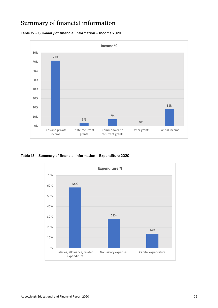# Summary of financial information





#### Table 13 – Summary of financial information – Expenditure 2020

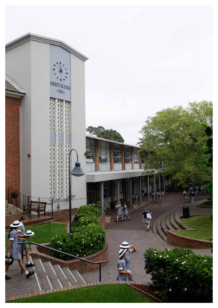